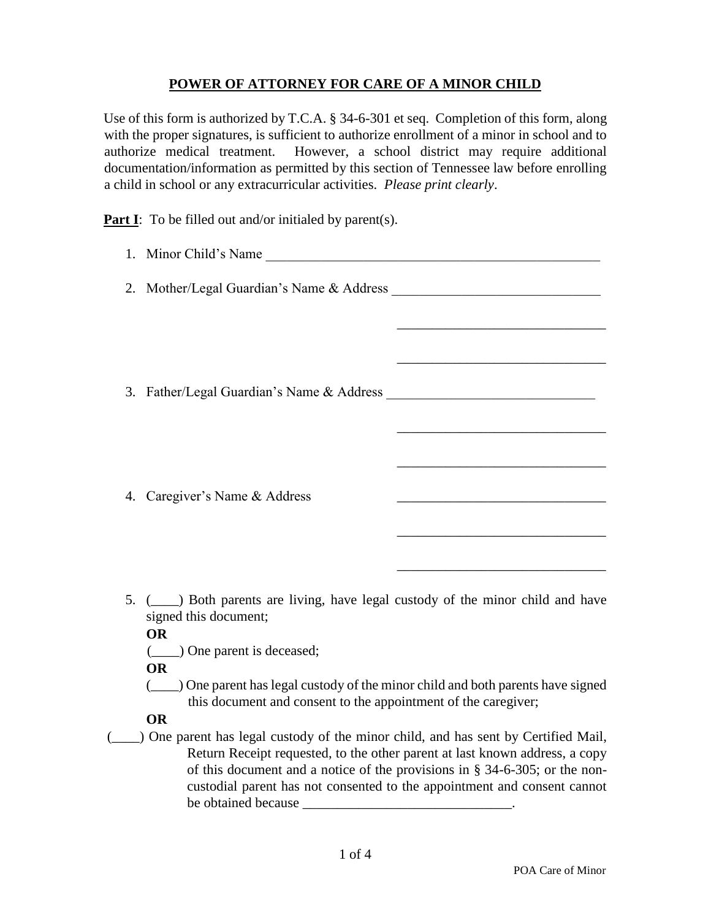## **POWER OF ATTORNEY FOR CARE OF A MINOR CHILD**

Use of this form is authorized by T.C.A. § 34-6-301 et seq. Completion of this form, along with the proper signatures, is sufficient to authorize enrollment of a minor in school and to authorize medical treatment. However, a school district may require additional documentation/information as permitted by this section of Tennessee law before enrolling a child in school or any extracurricular activities. *Please print clearly*.

**Part I**: To be filled out and/or initialed by parent(s).

1. Minor Child's Name 2. Mother/Legal Guardian's Name & Address \_\_\_\_\_\_\_\_\_\_\_\_\_\_\_\_\_\_\_\_\_\_\_\_\_\_\_\_\_\_ \_\_\_\_\_\_\_\_\_\_\_\_\_\_\_\_\_\_\_\_\_\_\_\_\_\_\_\_\_\_ 3. Father/Legal Guardian's Name & Address \_\_\_\_\_\_\_\_\_\_\_\_\_\_\_\_\_\_\_\_\_\_\_\_\_\_\_\_\_\_ \_\_\_\_\_\_\_\_\_\_\_\_\_\_\_\_\_\_\_\_\_\_\_\_\_\_\_\_\_\_ 4. Caregiver's Name & Address \_\_\_\_\_\_\_\_\_\_\_\_\_\_\_\_\_\_\_\_\_\_\_\_\_\_\_\_\_\_ \_\_\_\_\_\_\_\_\_\_\_\_\_\_\_\_\_\_\_\_\_\_\_\_\_\_\_\_\_\_ 5. (\_\_\_\_) Both parents are living, have legal custody of the minor child and have signed this document; **OR**  (\_\_\_\_) One parent is deceased; **OR**  (\_\_\_\_) One parent has legal custody of the minor child and both parents have signed this document and consent to the appointment of the caregiver; **OR**  (\_\_\_\_) One parent has legal custody of the minor child, and has sent by Certified Mail,

Return Receipt requested, to the other parent at last known address, a copy of this document and a notice of the provisions in § 34-6-305; or the noncustodial parent has not consented to the appointment and consent cannot be obtained because \_\_\_\_\_\_\_\_\_\_\_\_\_\_\_\_\_\_\_\_\_\_\_\_\_\_\_\_\_\_.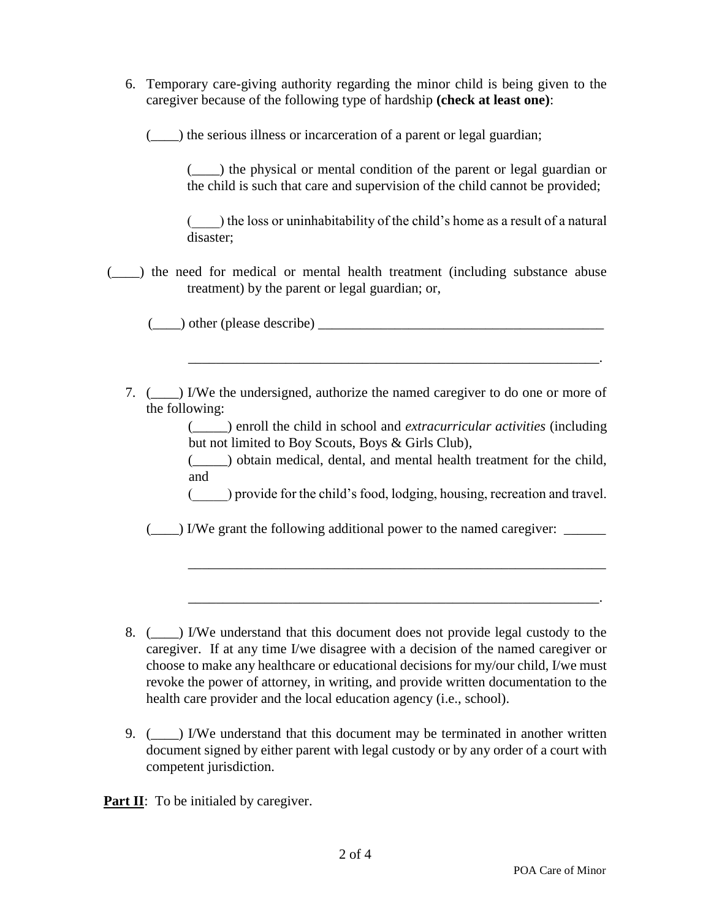6. Temporary care-giving authority regarding the minor child is being given to the caregiver because of the following type of hardship **(check at least one)**:

 $($ ) the serious illness or incarceration of a parent or legal guardian;

(\_\_\_\_) the physical or mental condition of the parent or legal guardian or the child is such that care and supervision of the child cannot be provided;

 $($ ) the loss or uninhabitability of the child's home as a result of a natural disaster;

(\_\_\_\_) the need for medical or mental health treatment (including substance abuse treatment) by the parent or legal guardian; or,

 $(\_\_\_\)$  other (please describe)  $\_\_\_\_\_\_\_\_\_\_$ 

7. (\_\_\_\_) I/We the undersigned, authorize the named caregiver to do one or more of the following:

> (\_\_\_\_\_) enroll the child in school and *extracurricular activities* (including but not limited to Boy Scouts, Boys & Girls Club)*,*

> \_\_\_\_\_\_\_\_\_\_\_\_\_\_\_\_\_\_\_\_\_\_\_\_\_\_\_\_\_\_\_\_\_\_\_\_\_\_\_\_\_\_\_\_\_\_\_\_\_\_\_\_\_\_\_\_\_\_\_.

(\_\_\_\_\_) obtain medical, dental, and mental health treatment for the child, and

(\_\_\_\_\_) provide for the child's food, lodging, housing, recreation and travel.

\_\_\_\_\_\_\_\_\_\_\_\_\_\_\_\_\_\_\_\_\_\_\_\_\_\_\_\_\_\_\_\_\_\_\_\_\_\_\_\_\_\_\_\_\_\_\_\_\_\_\_\_\_\_\_\_\_\_\_\_

\_\_\_\_\_\_\_\_\_\_\_\_\_\_\_\_\_\_\_\_\_\_\_\_\_\_\_\_\_\_\_\_\_\_\_\_\_\_\_\_\_\_\_\_\_\_\_\_\_\_\_\_\_\_\_\_\_\_\_.

(  $\Box$ ) I/We grant the following additional power to the named caregiver:

- 8. (\_\_\_\_) I/We understand that this document does not provide legal custody to the caregiver. If at any time I/we disagree with a decision of the named caregiver or choose to make any healthcare or educational decisions for my/our child, I/we must revoke the power of attorney, in writing, and provide written documentation to the health care provider and the local education agency (i.e., school).
- 9. (\_\_\_\_) I/We understand that this document may be terminated in another written document signed by either parent with legal custody or by any order of a court with competent jurisdiction.

**Part II**: To be initialed by caregiver.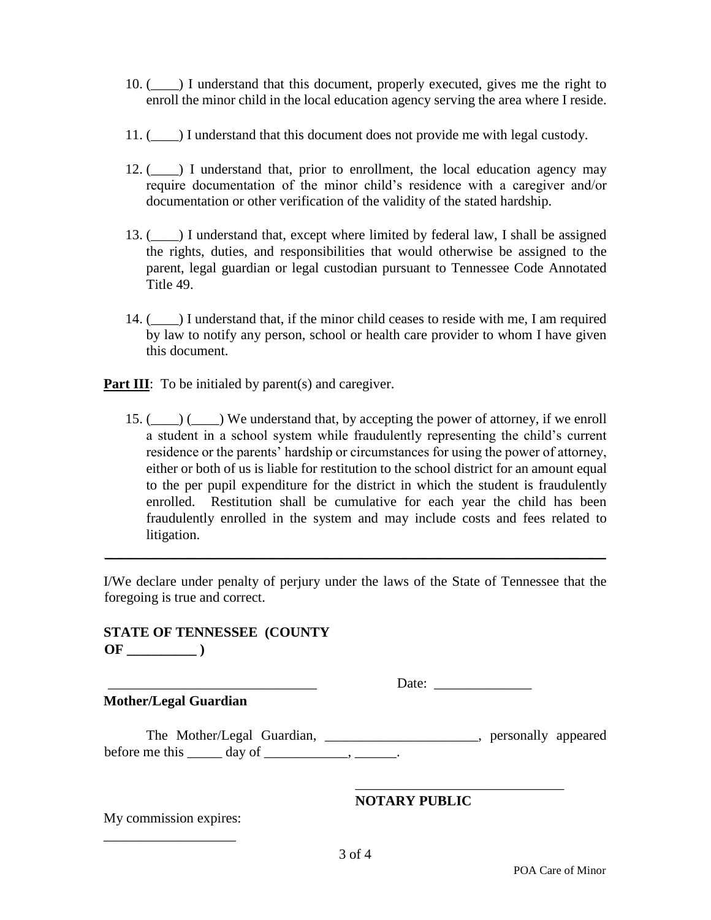- $10.$  (a) I understand that this document, properly executed, gives me the right to enroll the minor child in the local education agency serving the area where I reside.
- 11. (\_\_\_\_) I understand that this document does not provide me with legal custody.
- 12. (\_\_\_\_) I understand that, prior to enrollment, the local education agency may require documentation of the minor child's residence with a caregiver and/or documentation or other verification of the validity of the stated hardship.
- 13. (\_\_\_\_) I understand that, except where limited by federal law, I shall be assigned the rights, duties, and responsibilities that would otherwise be assigned to the parent, legal guardian or legal custodian pursuant to Tennessee Code Annotated Title 49.
- 14. (\_\_\_\_) I understand that, if the minor child ceases to reside with me, I am required by law to notify any person, school or health care provider to whom I have given this document.
- **Part III**: To be initialed by parent(s) and caregiver.
	- 15.  $(\ )$  ( $)$  We understand that, by accepting the power of attorney, if we enroll a student in a school system while fraudulently representing the child's current residence or the parents' hardship or circumstances for using the power of attorney, either or both of us is liable for restitution to the school district for an amount equal to the per pupil expenditure for the district in which the student is fraudulently enrolled. Restitution shall be cumulative for each year the child has been fraudulently enrolled in the system and may include costs and fees related to litigation.

I/We declare under penalty of perjury under the laws of the State of Tennessee that the foregoing is true and correct.

 $\_$  , and the set of the set of the set of the set of the set of the set of the set of the set of the set of the set of the set of the set of the set of the set of the set of the set of the set of the set of the set of th

**STATE OF TENNESSEE (COUNTY**   $OF$   $\qquad$  )

**Mother/Legal Guardian** 

Date:

\_\_\_\_\_\_\_\_\_\_\_\_\_\_\_\_\_\_\_\_\_\_\_\_\_\_\_\_\_\_

The Mother/Legal Guardian, the series of the series of the Mother/Legal Guardian, before me this  $\_\_\_\_\_\_\$  day of  $\_\_\_\_\_\_\$ .

**NOTARY PUBLIC**

My commission expires: \_\_\_\_\_\_\_\_\_\_\_\_\_\_\_\_\_\_\_